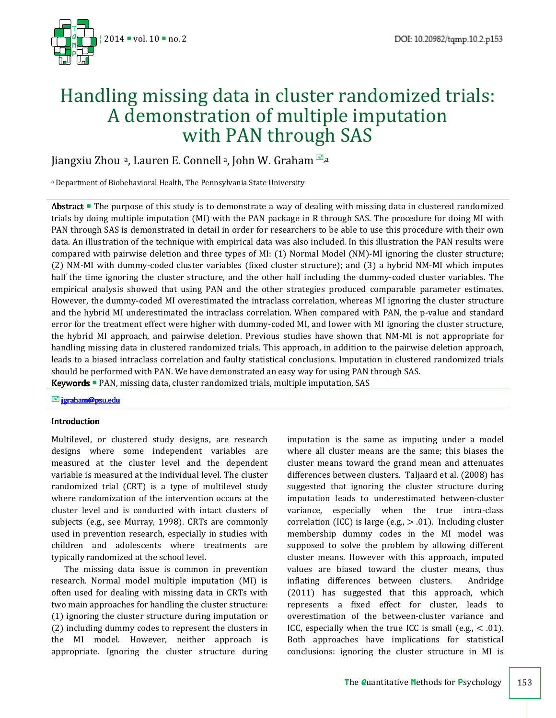

# Handling missing data in cluster randomized trials: A demonstration of multiple imputation with PAN through SAS

Jiangxiu Zhou <sup>a</sup>, Lauren E. Connell a, John W. Graham  $\Box$ ,a

<sup>a</sup> Department of Biobehavioral Health, The Pennsylvania State University

Abstract **The purpose of this study is to demonstrate a way of dealing with missing data in clustered randomized** trials by doing multiple imputation (MI) with the PAN package in R through SAS. The procedure for doing MI with PAN through SAS is demonstrated in detail in order for researchers to be able to use this procedure with their own data. An illustration of the technique with empirical data was also included. In this illustration the PAN results were compared with pairwise deletion and three types of MI: (1) Normal Model (NM)-MI ignoring the cluster structure; (2) NM-MI with dummy-coded cluster variables (fixed cluster structure); and (3) a hybrid NM-MI which imputes half the time ignoring the cluster structure, and the other half including the dummy-coded cluster variables. The empirical analysis showed that using PAN and the other strategies produced comparable parameter estimates. However, the dummy-coded MI overestimated the intraclass correlation, whereas MI ignoring the cluster structure and the hybrid MI underestimated the intraclass correlation. When compared with PAN, the p-value and standard error for the treatment effect were higher with dummy-coded MI, and lower with MI ignoring the cluster structure, the hybrid MI approach, and pairwise deletion. Previous studies have shown that NM-MI is not appropriate for handling missing data in clustered randomized trials. This approach, in addition to the pairwise deletion approach, leads to a biased intraclass correlation and faulty statistical conclusions. Imputation in clustered randomized trials should be performed with PAN. We have demonstrated an easy way for using PAN through SAS. Keywords **PAN**, missing data, cluster randomized trials, multiple imputation, SAS

E-jgraham@psu.edu

# Introduction Introduction

Multilevel, or clustered study designs, are research designs where some independent variables are measured at the cluster level and the dependent variable is measured at the individual level. The cluster randomized trial (CRT) is a type of multilevel study where randomization of the intervention occurs at the cluster level and is conducted with intact clusters of subjects (e.g., see Murray, 1998). CRTs are commonly used in prevention research, especially in studies with children and adolescents where treatments are typically randomized at the school level.

The missing data issue is common in prevention research. Normal model multiple imputation (MI) is often used for dealing with missing data in CRTs with two main approaches for handling the cluster structure: (1) ignoring the cluster structure during imputation or (2) including dummy codes to represent the clusters in the MI model. However, neither approach is appropriate. Ignoring the cluster structure during imputation is the same as imputing under a model where all cluster means are the same; this biases the cluster means toward the grand mean and attenuates differences between clusters. Taljaard et al. (2008) has suggested that ignoring the cluster structure during imputation leads to underestimated between-cluster variance, especially when the true intra-class correlation (ICC) is large (e.g.,  $> .01$ ). Including cluster membership dummy codes in the MI model was supposed to solve the problem by allowing different cluster means. However with this approach, imputed values are biased toward the cluster means, thus inflating differences between clusters. Andridge (2011) has suggested that this approach, which represents a fixed effect for cluster, leads to overestimation of the between-cluster variance and ICC, especially when the true ICC is small (e.g.,  $< .01$ ). Both approaches have implications for statistical conclusions: ignoring the cluster structure in MI is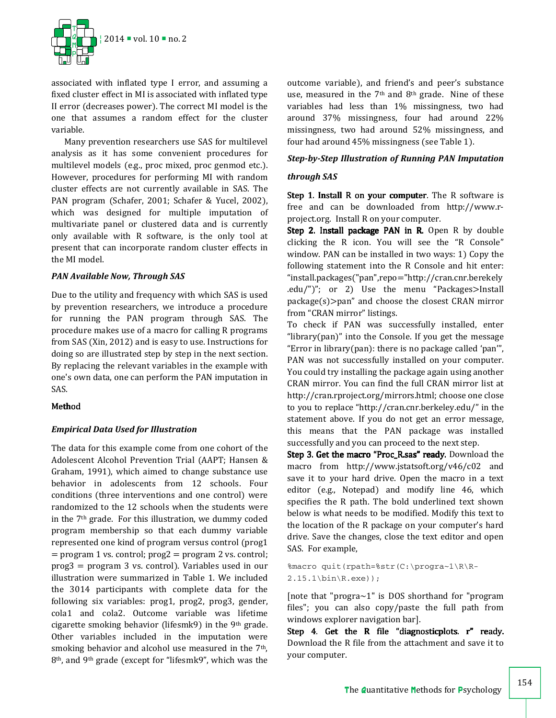

associated with inflated type I error, and assuming a fixed cluster effect in MI is associated with inflated type II error (decreases power). The correct MI model is the one that assumes a random effect for the cluster variable.

Many prevention researchers use SAS for multilevel analysis as it has some convenient procedures for multilevel models (e.g., proc mixed, proc genmod etc.). However, procedures for performing MI with random cluster effects are not currently available in SAS. The PAN program (Schafer, 2001; Schafer & Yucel, 2002), which was designed for multiple imputation of multivariate panel or clustered data and is currently only available with R software, is the only tool at present that can incorporate random cluster effects in the MI model.

# *PAN Available Now, Through SAS*

Due to the utility and frequency with which SAS is used by prevention researchers, we introduce a procedure for running the PAN program through SAS. The procedure makes use of a macro for calling R programs from SAS (Xin, 2012) and is easy to use. Instructions for doing so are illustrated step by step in the next section. By replacing the relevant variables in the example with one's own data, one can perform the PAN imputation in SAS.

#### Method

# *Empirical Data Used for Illustration*

The data for this example come from one cohort of the Adolescent Alcohol Prevention Trial (AAPT; Hansen & Graham, 1991), which aimed to change substance use behavior in adolescents from 12 schools. Four conditions (three interventions and one control) were randomized to the 12 schools when the students were in the  $7<sup>th</sup>$  grade. For this illustration, we dummy coded program membership so that each dummy variable represented one kind of program versus control (prog1  $=$  program 1 vs. control;  $prog2 = program 2$  vs. control; prog3 = program 3 vs. control). Variables used in our illustration were summarized in Table 1. We included the 3014 participants with complete data for the following six variables: prog1, prog2, prog3, gender, cola1 and cola2. Outcome variable was lifetime cigarette smoking behavior (lifesmk9) in the 9<sup>th</sup> grade. Other variables included in the imputation were smoking behavior and alcohol use measured in the 7<sup>th</sup>, 8th, and 9th grade (except for "lifesmk9", which was the

outcome variable), and friend's and peer's substance use, measured in the  $7<sup>th</sup>$  and  $8<sup>th</sup>$  grade. Nine of these variables had less than 1% missingness, two had around 37% missingness, four had around 22% missingness, two had around 52% missingness, and four had around 45% missingness (see Table 1).

#### *Step-by-Step Illustration of Running PAN Imputation*

#### *through SAS*

Step 1. Install R on your computer. The R software is free and can be downloaded from http://www.rproject.org. Install R on your computer.

Step 2. Install package PAN in R. Open R by double clicking the R icon. You will see the "R Console" window. PAN can be installed in two ways: 1) Copy the following statement into the R Console and hit enter: "install.packages("pan",repo="http://cran.cnr.berekely .edu/")"; or 2) Use the menu "Packages>Install package(s)>pan" and choose the closest CRAN mirror from "CRAN mirror" listings.

To check if PAN was successfully installed, enter "library(pan)" into the Console. If you get the message "Error in library(pan): there is no package called 'pan'", PAN was not successfully installed on your computer. You could try installing the package again using another CRAN mirror. You can find the full CRAN mirror list at http://cran.rproject.org/mirrors.html; choose one close to you to replace "http://cran.cnr.berkeley.edu/" in the statement above. If you do not get an error message, this means that the PAN package was installed successfully and you can proceed to the next step.

Step 3. Get the macro "Proc\_R.sas" ready. Download the macro from http://www.jstatsoft.org/v46/c02 and save it to your hard drive. Open the macro in a text editor (e.g., Notepad) and modify line 46, which specifies the R path. The bold underlined text shown below is what needs to be modified. Modify this text to the location of the R package on your computer's hard drive. Save the changes, close the text editor and open SAS. For example,

%macro quit(rpath=%str(C:\progra~1\R\R-2.15.1\bin\R.exe));

[note that "progra $\sim$ 1" is DOS shorthand for "program files"; you can also copy/paste the full path from windows explorer navigation bar].

Step 4. Get the R file "diagnostic plots.  $r$ " ready. Download the R file from the attachment and save it to your computer.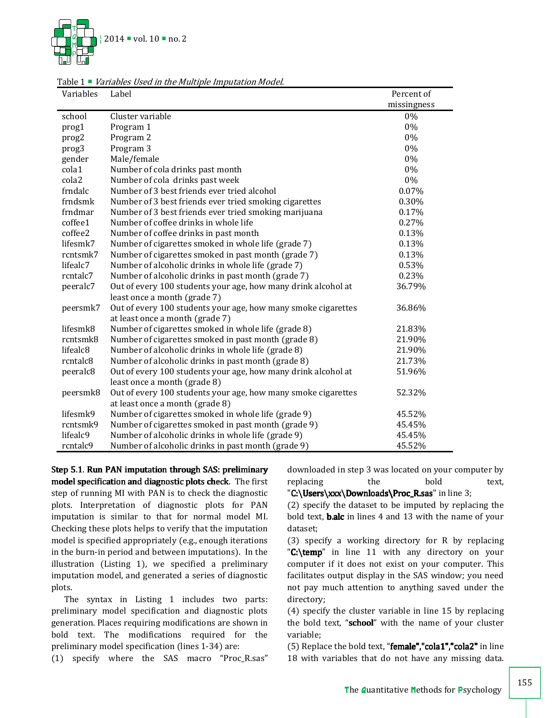

| Variables            | Label                                                                                            | Percent of  |  |
|----------------------|--------------------------------------------------------------------------------------------------|-------------|--|
|                      |                                                                                                  | missingness |  |
| school               | Cluster variable                                                                                 | 0%          |  |
| prog1                | Program 1                                                                                        | 0%          |  |
| prog2                | Program 2                                                                                        | 0%          |  |
| prog3                | Program 3                                                                                        | 0%          |  |
| gender               | Male/female                                                                                      | 0%          |  |
| cola1                | Number of cola drinks past month                                                                 | 0%          |  |
| cola2                | Number of cola drinks past week                                                                  | 0%          |  |
| frndalc              | Number of 3 best friends ever tried alcohol                                                      | 0.07%       |  |
| frndsmk              | Number of 3 best friends ever tried smoking cigarettes                                           | 0.30%       |  |
| frndmar              | Number of 3 best friends ever tried smoking marijuana                                            | 0.17%       |  |
| coffee1              | Number of coffee drinks in whole life                                                            | 0.27%       |  |
| coffee2              | Number of coffee drinks in past month                                                            | 0.13%       |  |
| lifesmk7             | Number of cigarettes smoked in whole life (grade 7)                                              | 0.13%       |  |
| rcntsmk7             | Number of cigarettes smoked in past month (grade 7)                                              | 0.13%       |  |
| lifealc7             | Number of alcoholic drinks in whole life (grade 7)                                               | 0.53%       |  |
| rcntalc7             | Number of alcoholic drinks in past month (grade 7)                                               | 0.23%       |  |
| peeralc7             | Out of every 100 students your age, how many drink alcohol at                                    | 36.79%      |  |
|                      | least once a month (grade 7)                                                                     |             |  |
| peersmk7             | Out of every 100 students your age, how many smoke cigarettes<br>at least once a month (grade 7) | 36.86%      |  |
| lifesmk8             | Number of cigarettes smoked in whole life (grade 8)                                              | 21.83%      |  |
| rcntsmk8             | Number of cigarettes smoked in past month (grade 8)                                              | 21.90%      |  |
| lifealc <sub>8</sub> | Number of alcoholic drinks in whole life (grade 8)                                               | 21.90%      |  |
| rcntalc8             | Number of alcoholic drinks in past month (grade 8)                                               | 21.73%      |  |
| peeralc8             | Out of every 100 students your age, how many drink alcohol at                                    | 51.96%      |  |
|                      | least once a month (grade 8)                                                                     |             |  |
| peersmk8             | Out of every 100 students your age, how many smoke cigarettes                                    | 52.32%      |  |
|                      | at least once a month (grade 8)                                                                  |             |  |
| lifesmk9             | Number of cigarettes smoked in whole life (grade 9)                                              | 45.52%      |  |
| rcntsmk9             | Number of cigarettes smoked in past month (grade 9)                                              | 45.45%      |  |
| lifealc9             | Number of alcoholic drinks in whole life (grade 9)                                               | 45.45%      |  |
| rcntalc9             | Number of alcoholic drinks in past month (grade 9)                                               | 45.52%      |  |

Table 1  $\blacksquare$  Variables Used in the Multiple Imputation Model.

Step 5.1. Run PAN imputation through SAS: preliminary model specification and diagnostic plots check. The first step of running MI with PAN is to check the diagnostic plots. Interpretation of diagnostic plots for PAN imputation is similar to that for normal model MI. Checking these plots helps to verify that the imputation model is specified appropriately (e.g., enough iterations in the burn-in period and between imputations). In the illustration (Listing 1), we specified a preliminary imputation model, and generated a series of diagnostic plots.

The syntax in Listing 1 includes two parts: preliminary model specification and diagnostic plots generation. Places requiring modifications are shown in bold text. The modifications required for the preliminary model specification (lines 1-34) are:

(1) specify where the SAS macro "Proc\_R.sas"

downloaded in step 3 was located on your computer by replacing the bold text,

"C:\Users\xxx\Downloads\Proc\_R.sas" in line 3;

(2) specify the dataset to be imputed by replacing the bold text, b.alc in lines 4 and 13 with the name of your dataset;

(3) specify a working directory for R by replacing "C:\temp" in line 11 with any directory on your computer if it does not exist on your computer. This facilitates output display in the SAS window; you need not pay much attention to anything saved under the directory;

(4) specify the cluster variable in line 15 by replacing the bold text, "school" with the name of your cluster variable;

(5) Replace the bold text, "**female","cola1","cola2"** in line 18 with variables that do not have any missing data.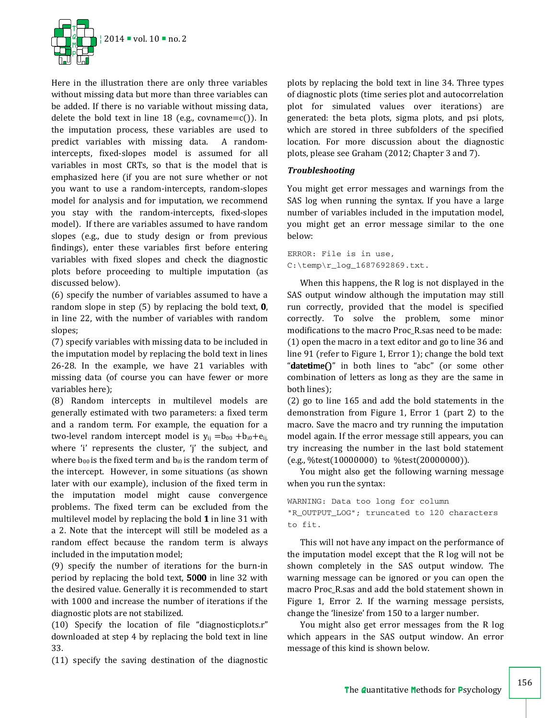

Here in the illustration there are only three variables without missing data but more than three variables can be added. If there is no variable without missing data, delete the bold text in line 18 (e.g., covname= $c()$ ). In the imputation process, these variables are used to predict variables with missing data. A randomintercepts, fixed-slopes model is assumed for all variables in most CRTs, so that is the model that is emphasized here (if you are not sure whether or not you want to use a random-intercepts, random-slopes model for analysis and for imputation, we recommend you stay with the random-intercepts, fixed-slopes model). If there are variables assumed to have random slopes (e.g., due to study design or from previous findings), enter these variables first before entering variables with fixed slopes and check the diagnostic plots before proceeding to multiple imputation (as discussed below).

(6) specify the number of variables assumed to have a random slope in step  $(5)$  by replacing the bold text,  $0$ , in line 22, with the number of variables with random slopes;

(7) specify variables with missing data to be included in the imputation model by replacing the bold text in lines 26-28. In the example, we have 21 variables with missing data (of course you can have fewer or more variables here);

(8) Random intercepts in multilevel models are generally estimated with two parameters: a fixed term and a random term. For example, the equation for a two-level random intercept model is  $y_{ii} = b_{00} + b_{i0} + e_{ii}$ where 'i' represents the cluster, 'j' the subject, and where  $b_{00}$  is the fixed term and  $b_{i0}$  is the random term of the intercept. However, in some situations (as shown later with our example), inclusion of the fixed term in the imputation model might cause convergence problems. The fixed term can be excluded from the multilevel model by replacing the bold 1 in line 31 with a 2. Note that the intercept will still be modeled as a random effect because the random term is always included in the imputation model;

(9) specify the number of iterations for the burn-in period by replacing the bold text, 5000 in line 32 with the desired value. Generally it is recommended to start with 1000 and increase the number of iterations if the diagnostic plots are not stabilized.

(10) Specify the location of file "diagnosticplots.r" downloaded at step 4 by replacing the bold text in line 33.

(11) specify the saving destination of the diagnostic

plots by replacing the bold text in line 34. Three types of diagnostic plots (time series plot and autocorrelation plot for simulated values over iterations) are generated: the beta plots, sigma plots, and psi plots, which are stored in three subfolders of the specified location. For more discussion about the diagnostic plots, please see Graham (2012; Chapter 3 and 7).

# *Troubleshooting*

You might get error messages and warnings from the SAS log when running the syntax. If you have a large number of variables included in the imputation model, you might get an error message similar to the one below:

ERROR: File is in use, C:\temp\r\_log\_1687692869.txt.

When this happens, the R log is not displayed in the SAS output window although the imputation may still run correctly, provided that the model is specified correctly. To solve the problem, some minor modifications to the macro Proc\_R.sas need to be made: (1) open the macro in a text editor and go to line 36 and line 91 (refer to Figure 1, Error 1); change the bold text "datetime $O$ " in both lines to "abc" (or some other combination of letters as long as they are the same in both lines);

(2) go to line 165 and add the bold statements in the demonstration from Figure 1, Error 1 (part 2) to the macro. Save the macro and try running the imputation model again. If the error message still appears, you can try increasing the number in the last bold statement (e.g., %test(10000000) to %test(20000000)).

You might also get the following warning message when you run the syntax:

WARNING: Data too long for column "R\_OUTPUT\_LOG"; truncated to 120 characters to fit.

This will not have any impact on the performance of the imputation model except that the R log will not be shown completely in the SAS output window. The warning message can be ignored or you can open the macro Proc\_R.sas and add the bold statement shown in Figure 1, Error 2. If the warning message persists, change the 'linesize' from 150 to a larger number.

You might also get error messages from the R log which appears in the SAS output window. An error message of this kind is shown below.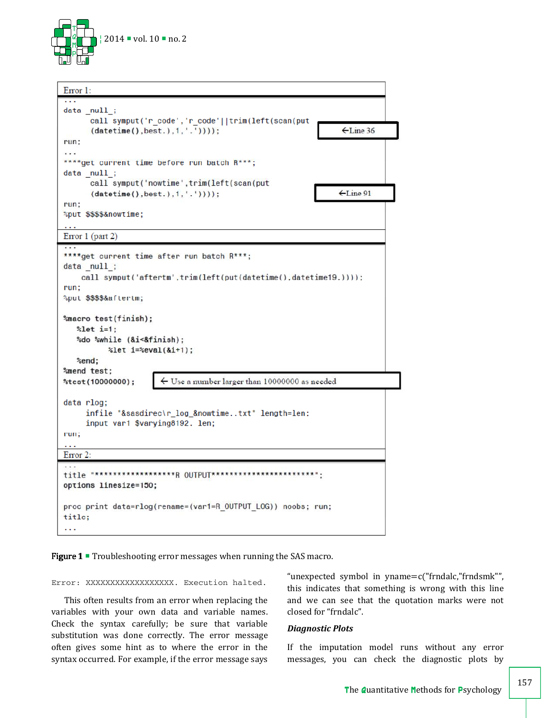



Figure 1 **Troubleshooting error messages when running the SAS macro.** 

Error: XXXXXXXXXXXXXXXXXXX. Execution halted.

This often results from an error when replacing the variables with your own data and variable names. Check the syntax carefully; be sure that variable substitution was done correctly. The error message often gives some hint as to where the error in the syntax occurred. For example, if the error message says "unexpected symbol in yname=c("frndalc,"frndsmk"", this indicates that something is wrong with this line and we can see that the quotation marks were not closed for "frndalc".

#### *Diagnostic Plots*

If the imputation model runs without any error messages, you can check the diagnostic plots by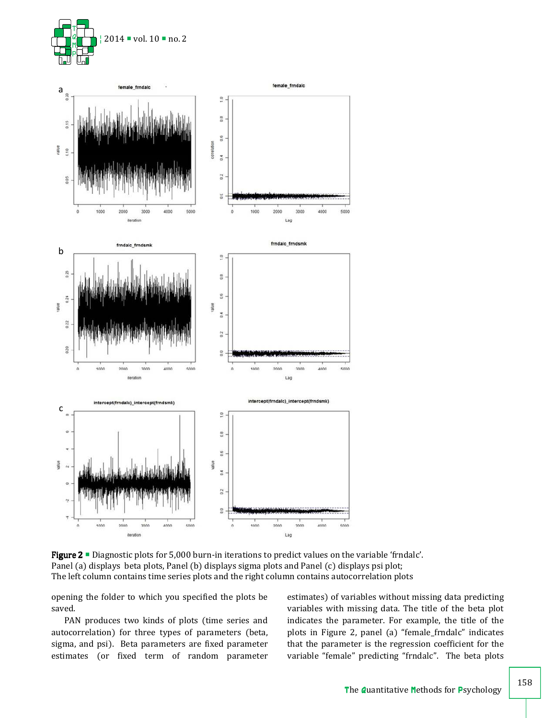



Figure 2 **Diagnostic plots for 5,000 burn-in iterations to predict values on the variable 'frndalc'**. Panel (a) displays beta plots, Panel (b) displays sigma plots and Panel (c) displays psi plot; The left column contains time series plots and the right column contains autocorrelation plots

opening the folder to which you specified the plots be saved.

PAN produces two kinds of plots (time series and autocorrelation) for three types of parameters (beta, sigma, and psi). Beta parameters are fixed parameter estimates (or fixed term of random parameter estimates) of variables without missing data predicting variables with missing data. The title of the beta plot indicates the parameter. For example, the title of the plots in Figure 2, panel (a) "female\_frndalc" indicates that the parameter is the regression coefficient for the variable "female" predicting "frndalc". The beta plots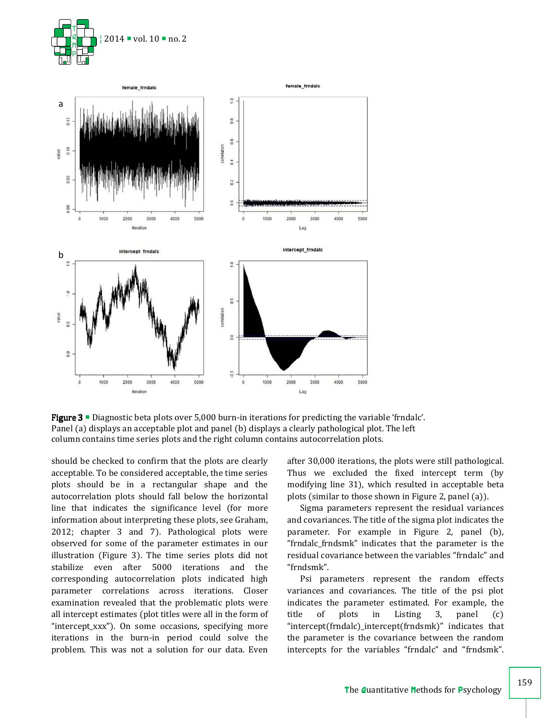



**Figure 3**  $\blacksquare$  Diagnostic beta plots over 5,000 burn-in iterations for predicting the variable 'frndalc'. Panel (a) displays an acceptable plot and panel (b) displays a clearly pathological plot. The left column contains time series plots and the right column contains autocorrelation plots.

should be checked to confirm that the plots are clearly acceptable. To be considered acceptable, the time series plots should be in a rectangular shape and the autocorrelation plots should fall below the horizontal line that indicates the significance level (for more information about interpreting these plots, see Graham, 2012; chapter 3 and 7). Pathological plots were observed for some of the parameter estimates in our illustration (Figure 3). The time series plots did not stabilize even after 5000 iterations and the corresponding autocorrelation plots indicated high parameter correlations across iterations. Closer examination revealed that the problematic plots were all intercept estimates (plot titles were all in the form of "intercept\_xxx"). On some occasions, specifying more iterations in the burn-in period could solve the problem. This was not a solution for our data. Even

after 30,000 iterations, the plots were still pathological. Thus we excluded the fixed intercept term (by modifying line 31), which resulted in acceptable beta plots (similar to those shown in Figure 2, panel (a)).

Sigma parameters represent the residual variances and covariances. The title of the sigma plot indicates the parameter. For example in Figure 2, panel (b), "frndalc\_frndsmk" indicates that the parameter is the residual covariance between the variables "frndalc" and "frndsmk".

Psi parameters represent the random effects variances and covariances. The title of the psi plot indicates the parameter estimated. For example, the title of plots in Listing 3, panel (c) "intercept(frndalc)\_intercept(frndsmk)" indicates that the parameter is the covariance between the random intercepts for the variables "frndalc" and "frndsmk".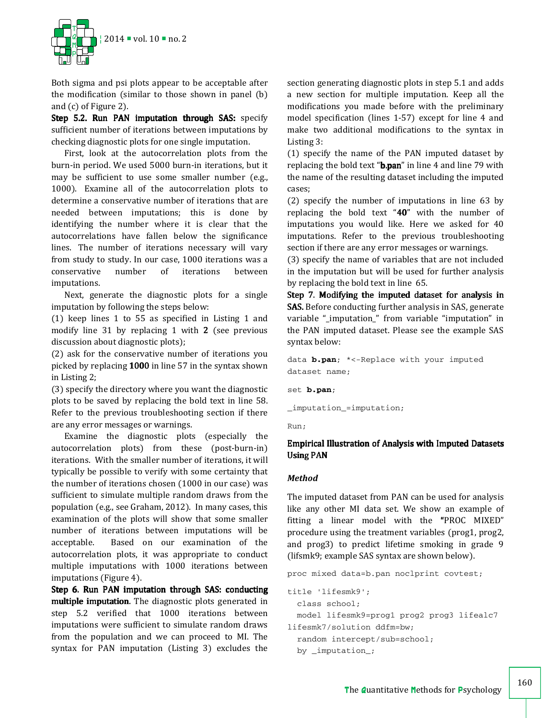

Both sigma and psi plots appear to be acceptable after the modification (similar to those shown in panel (b) and (c) of Figure 2).

Step 5.2. Run PAN imputation through SAS: specify sufficient number of iterations between imputations by checking diagnostic plots for one single imputation.

First, look at the autocorrelation plots from the burn-in period. We used 5000 burn-in iterations, but it may be sufficient to use some smaller number (e.g., 1000). Examine all of the autocorrelation plots to determine a conservative number of iterations that are needed between imputations; this is done by identifying the number where it is clear that the autocorrelations have fallen below the significance lines. The number of iterations necessary will vary from study to study. In our case, 1000 iterations was a conservative number of iterations between imputations.

Next, generate the diagnostic plots for a single imputation by following the steps below:

(1) keep lines 1 to 55 as specified in Listing 1 and modify line 31 by replacing 1 with 2 (see previous discussion about diagnostic plots);

(2) ask for the conservative number of iterations you picked by replacing 1000 in line 57 in the syntax shown in Listing 2;

(3) specify the directory where you want the diagnostic plots to be saved by replacing the bold text in line 58. Refer to the previous troubleshooting section if there are any error messages or warnings.

Examine the diagnostic plots (especially the autocorrelation plots) from these (post-burn-in) iterations. With the smaller number of iterations, it will typically be possible to verify with some certainty that the number of iterations chosen (1000 in our case) was sufficient to simulate multiple random draws from the population (e.g., see Graham, 2012). In many cases, this examination of the plots will show that some smaller number of iterations between imputations will be acceptable. Based on our examination of the autocorrelation plots, it was appropriate to conduct multiple imputations with 1000 iterations between imputations (Figure 4).

Step 6. Run PAN imputation through SAS: conducting multiple imputation. The diagnostic plots generated in step 5.2 verified that 1000 iterations between imputations were sufficient to simulate random draws from the population and we can proceed to MI. The syntax for PAN imputation (Listing 3) excludes the

section generating diagnostic plots in step 5.1 and adds a new section for multiple imputation. Keep all the modifications you made before with the preliminary model specification (lines 1-57) except for line 4 and make two additional modifications to the syntax in Listing 3:

(1) specify the name of the PAN imputed dataset by replacing the bold text "**b.pan**" in line 4 and line 79 with the name of the resulting dataset including the imputed cases;

(2) specify the number of imputations in line 63 by replacing the bold text "40" with the number of imputations you would like. Here we asked for 40 imputations. Refer to the previous troubleshooting section if there are any error messages or warnings.

(3) specify the name of variables that are not included in the imputation but will be used for further analysis by replacing the bold text in line 65.

Step 7. Modifying the imputed dataset for analysis in **SAS.** Before conducting further analysis in SAS, generate variable "\_imputation\_" from variable "imputation" in the PAN imputed dataset. Please see the example SAS syntax below:

data **b.pan**; \*<-Replace with your imputed dataset name;

set **b.pan**;

\_imputation\_=imputation;

Run;

# Empirical Illustration of Analysis with Imputed Datasets **Using PAN**

# *Method*

The imputed dataset from PAN can be used for analysis like any other MI data set. We show an example of fitting a linear model with the "PROC MIXED" procedure using the treatment variables (prog1, prog2, and prog3) to predict lifetime smoking in grade 9 (lifsmk9; example SAS syntax are shown below).

proc mixed data=b.pan noclprint covtest;

```
title 'lifesmk9'; 
   class school; 
   model lifesmk9=prog1 prog2 prog3 lifealc7 
lifesmk7/solution ddfm=bw; 
   random intercept/sub=school; 
   by _imputation_;
```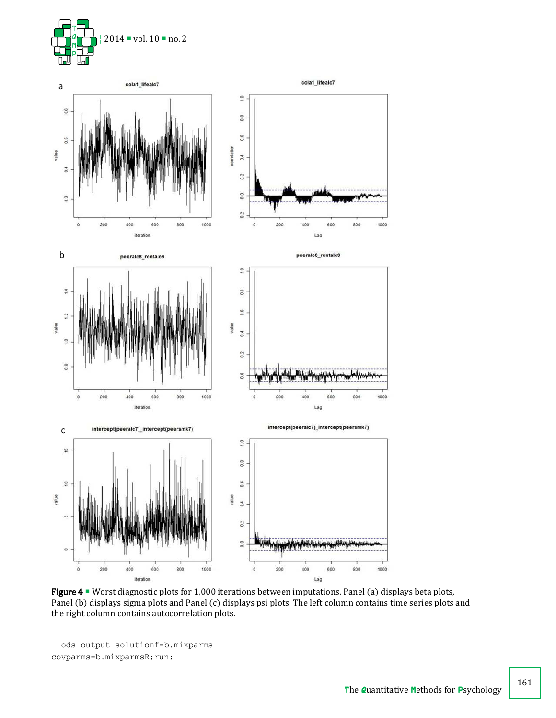



 Figure 4 4 Worst diagnostic plots for 1,000 iterations between imputations. Panel (a) displays beta plots, Panel (b) displays sigma plots and Panel (c) displays psi plots. The left column contains time series plots and the right column contains autocorrelation plots.

```
 ods output solutionf=b.mixparms 
covparms=b.mixparmsR;run;
```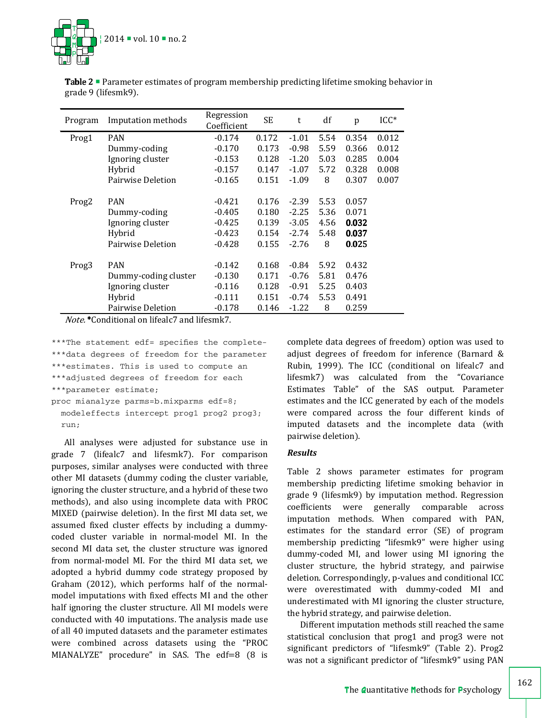

| Program           | Imputation methods   | Regression<br>Coefficient | <b>SE</b> | t       | df   | p     | $ICC^*$ |
|-------------------|----------------------|---------------------------|-----------|---------|------|-------|---------|
| Prog1             | <b>PAN</b>           | $-0.174$                  | 0.172     | $-1.01$ | 5.54 | 0.354 | 0.012   |
|                   | Dummy-coding         | $-0.170$                  | 0.173     | $-0.98$ | 5.59 | 0.366 | 0.012   |
|                   | Ignoring cluster     | $-0.153$                  | 0.128     | $-1.20$ | 5.03 | 0.285 | 0.004   |
|                   | Hybrid               | $-0.157$                  | 0.147     | $-1.07$ | 5.72 | 0.328 | 0.008   |
|                   | Pairwise Deletion    | $-0.165$                  | 0.151     | $-1.09$ | 8    | 0.307 | 0.007   |
|                   |                      |                           |           |         |      |       |         |
| Prog <sub>2</sub> | <b>PAN</b>           | $-0.421$                  | 0.176     | $-2.39$ | 5.53 | 0.057 |         |
|                   | Dummy-coding         | $-0.405$                  | 0.180     | $-2.25$ | 5.36 | 0.071 |         |
|                   | Ignoring cluster     | $-0.425$                  | 0.139     | $-3.05$ | 4.56 | 0.032 |         |
|                   | Hybrid               | $-0.423$                  | 0.154     | $-2.74$ | 5.48 | 0.037 |         |
|                   | Pairwise Deletion    | $-0.428$                  | 0.155     | $-2.76$ | 8    | 0.025 |         |
|                   |                      |                           |           |         |      |       |         |
| Prog <sub>3</sub> | <b>PAN</b>           | $-0.142$                  | 0.168     | $-0.84$ | 5.92 | 0.432 |         |
|                   | Dummy-coding cluster | $-0.130$                  | 0.171     | $-0.76$ | 5.81 | 0.476 |         |
|                   | Ignoring cluster     | $-0.116$                  | 0.128     | $-0.91$ | 5.25 | 0.403 |         |
|                   | Hybrid               | $-0.111$                  | 0.151     | $-0.74$ | 5.53 | 0.491 |         |
|                   | Pairwise Deletion    | $-0.178$                  | 0.146     | $-1.22$ | 8    | 0.259 |         |

Table 2 **Parameter estimates of program membership predicting lifetime smoking behavior in** grade 9 (lifesmk9).

Note. \*Conditional on lifealc7 and lifesmk7.

\*\*\*The statement edf= specifies the complete- \*\*\*data degrees of freedom for the parameter \*\*\*estimates. This is used to compute an \*\*\*adjusted degrees of freedom for each \*\*\*parameter estimate;

proc mianalyze parms=b.mixparms edf=8; modeleffects intercept prog1 prog2 prog3; run;

All analyses were adjusted for substance use in grade 7 (lifealc7 and lifesmk7). For comparison purposes, similar analyses were conducted with three other MI datasets (dummy coding the cluster variable, ignoring the cluster structure, and a hybrid of these two methods), and also using incomplete data with PROC MIXED (pairwise deletion). In the first MI data set, we assumed fixed cluster effects by including a dummycoded cluster variable in normal-model MI. In the second MI data set, the cluster structure was ignored from normal-model MI. For the third MI data set, we adopted a hybrid dummy code strategy proposed by Graham (2012), which performs half of the normalmodel imputations with fixed effects MI and the other half ignoring the cluster structure. All MI models were conducted with 40 imputations. The analysis made use of all 40 imputed datasets and the parameter estimates were combined across datasets using the "PROC MIANALYZE" procedure" in SAS. The edf=8 (8 is

complete data degrees of freedom) option was used to adjust degrees of freedom for inference (Barnard & Rubin, 1999). The ICC (conditional on lifealc7 and lifesmk7) was calculated from the "Covariance Estimates Table" of the SAS output. Parameter estimates and the ICC generated by each of the models were compared across the four different kinds of imputed datasets and the incomplete data (with pairwise deletion).

# *Results*

Table 2 shows parameter estimates for program membership predicting lifetime smoking behavior in grade 9 (lifesmk9) by imputation method. Regression coefficients were generally comparable across imputation methods. When compared with PAN, estimates for the standard error (SE) of program membership predicting "lifesmk9" were higher using dummy-coded MI, and lower using MI ignoring the cluster structure, the hybrid strategy, and pairwise deletion. Correspondingly, p-values and conditional ICC were overestimated with dummy-coded MI and underestimated with MI ignoring the cluster structure, the hybrid strategy, and pairwise deletion.

Different imputation methods still reached the same statistical conclusion that prog1 and prog3 were not significant predictors of "lifesmk9" (Table 2). Prog2 was not a significant predictor of "lifesmk9" using PAN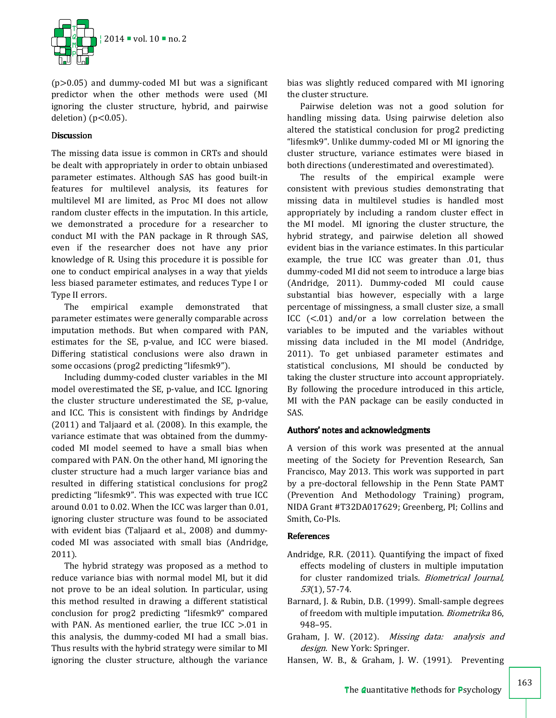

(p>0.05) and dummy-coded MI but was a significant predictor when the other methods were used (MI ignoring the cluster structure, hybrid, and pairwise deletion) ( $p<0.05$ ).

# Discussion

The missing data issue is common in CRTs and should be dealt with appropriately in order to obtain unbiased parameter estimates. Although SAS has good built-in features for multilevel analysis, its features for multilevel MI are limited, as Proc MI does not allow random cluster effects in the imputation. In this article, we demonstrated a procedure for a researcher to conduct MI with the PAN package in R through SAS, even if the researcher does not have any prior knowledge of R. Using this procedure it is possible for one to conduct empirical analyses in a way that yields less biased parameter estimates, and reduces Type I or Type II errors.

The empirical example demonstrated that parameter estimates were generally comparable across imputation methods. But when compared with PAN, estimates for the SE, p-value, and ICC were biased. Differing statistical conclusions were also drawn in some occasions (prog2 predicting "lifesmk9").

Including dummy-coded cluster variables in the MI model overestimated the SE, p-value, and ICC. Ignoring the cluster structure underestimated the SE, p-value, and ICC. This is consistent with findings by Andridge (2011) and Taljaard et al. (2008). In this example, the variance estimate that was obtained from the dummycoded MI model seemed to have a small bias when compared with PAN. On the other hand, MI ignoring the cluster structure had a much larger variance bias and resulted in differing statistical conclusions for prog2 predicting "lifesmk9". This was expected with true ICC around 0.01 to 0.02. When the ICC was larger than 0.01, ignoring cluster structure was found to be associated with evident bias (Taljaard et al., 2008) and dummycoded MI was associated with small bias (Andridge, 2011).

The hybrid strategy was proposed as a method to reduce variance bias with normal model MI, but it did not prove to be an ideal solution. In particular, using this method resulted in drawing a different statistical conclusion for prog2 predicting "lifesmk9" compared with PAN. As mentioned earlier, the true ICC  $> 01$  in this analysis, the dummy-coded MI had a small bias. Thus results with the hybrid strategy were similar to MI ignoring the cluster structure, although the variance

bias was slightly reduced compared with MI ignoring the cluster structure.

Pairwise deletion was not a good solution for handling missing data. Using pairwise deletion also altered the statistical conclusion for prog2 predicting "lifesmk9". Unlike dummy-coded MI or MI ignoring the cluster structure, variance estimates were biased in both directions (underestimated and overestimated).

The results of the empirical example were consistent with previous studies demonstrating that missing data in multilevel studies is handled most appropriately by including a random cluster effect in the MI model. MI ignoring the cluster structure, the hybrid strategy, and pairwise deletion all showed evident bias in the variance estimates. In this particular example, the true ICC was greater than .01, thus dummy-coded MI did not seem to introduce a large bias (Andridge, 2011). Dummy-coded MI could cause substantial bias however, especially with a large percentage of missingness, a small cluster size, a small ICC (<.01) and/or a low correlation between the variables to be imputed and the variables without missing data included in the MI model (Andridge, 2011). To get unbiased parameter estimates and statistical conclusions, MI should be conducted by taking the cluster structure into account appropriately. By following the procedure introduced in this article, MI with the PAN package can be easily conducted in SAS.

# Authors' notes and acknowledgments

A version of this work was presented at the annual meeting of the Society for Prevention Research, San Francisco, May 2013. This work was supported in part by a pre-doctoral fellowship in the Penn State PAMT (Prevention And Methodology Training) program, NIDA Grant #T32DA017629; Greenberg, PI; Collins and Smith, Co-PIs.

# References

- Andridge, R.R. (2011). Quantifying the impact of fixed effects modeling of clusters in multiple imputation for cluster randomized trials. Biometrical Journal, 53(1), 57-74.
- Barnard, J. & Rubin, D.B. (1999). Small-sample degrees of freedom with multiple imputation. Biometrika 86, 948–95.
- Graham, J. W. (2012). Missing data: analysis and design. New York: Springer.
- Hansen, W. B., & Graham, J. W. (1991). Preventing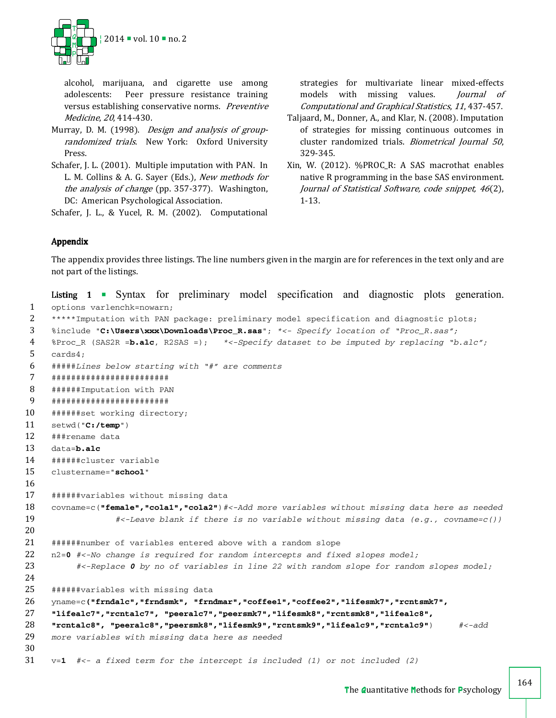

alcohol, marijuana, and cigarette use among adolescents: Peer pressure resistance training versus establishing conservative norms. Preventive Medicine, 20, 414-430.

- Murray, D. M. (1998). Design and analysis of grouprandomized trials. New York: Oxford University Press.
- Schafer, J. L. (2001). Multiple imputation with PAN. In L. M. Collins & A. G. Sayer (Eds.), New methods for the analysis of change (pp. 357-377). Washington, DC: American Psychological Association.

Schafer, J. L., & Yucel, R. M. (2002). Computational

strategies for multivariate linear mixed-effects models with missing values. *Journal of* Computational and Graphical Statistics, 11, 437-457.

- Taljaard, M., Donner, A., and Klar, N. (2008). Imputation of strategies for missing continuous outcomes in cluster randomized trials. Biometrical Journal 50, 329-345.
- Xin, W. (2012). %PROC\_R: A SAS macrothat enables native R programming in the base SAS environment. Journal of Statistical Software, code snippet, 46(2), 1-13.

# Appendix

The appendix provides three listings. The line numbers given in the margin are for references in the text only and are not part of the listings.

```
Listing 1 • Syntax for preliminary model specification and diagnostic plots generation.
 1 options varlenchk=nowarn; 
 2 *****Imputation with PAN package: preliminary model specification and diagnostic plots; 
 3 %include "C:\Users\xxx\Downloads\Proc_R.sas"; *<- Specify location of "Proc_R.sas";
 4 %Proc_R (SAS2R =b.alc, R2SAS =); *<-Specify dataset to be imputed by replacing "b.alc";
 5 cards4; 
 6 #####Lines below starting with "#" are comments
 7 ######################## 
 8 ######Imputation with PAN 
 9 ######################## 
10 ######set working directory; 
11 setwd("C:/temp") 
12 ###rename data 
13 data=b.alc
14 ######cluster variable 
15 clustername="school" 
16 
17 ######variables without missing data 
18 covname=c("female","cola1","cola2")#<-Add more variables without missing data here as needed 
19 #<-Leave blank if there is no variable without missing data (e.g., covname=c()) 
20 
21 ######number of variables entered above with a random slope 
22 n2=0 #<-No change is required for random intercepts and fixed slopes model; 
23 #<-Replace 0 by no of variables in line 22 with random slope for random slopes model; 
24 
25 ######variables with missing data
26 yname=c("frndalc","frndsmk", "frndmar","coffee1","coffee2","lifesmk7","rcntsmk7", 
27 "lifealc7","rcntalc7", "peeralc7","peersmk7","lifesmk8","rcntsmk8","lifealc8", 
28 "rcntalc8", "peeralc8","peersmk8","lifesmk9","rcntsmk9","lifealc9","rcntalc9") #<-add 
29 more variables with missing data here as needed 
30 
31 v=1 #<- a fixed term for the intercept is included (1) or not included (2)
```
164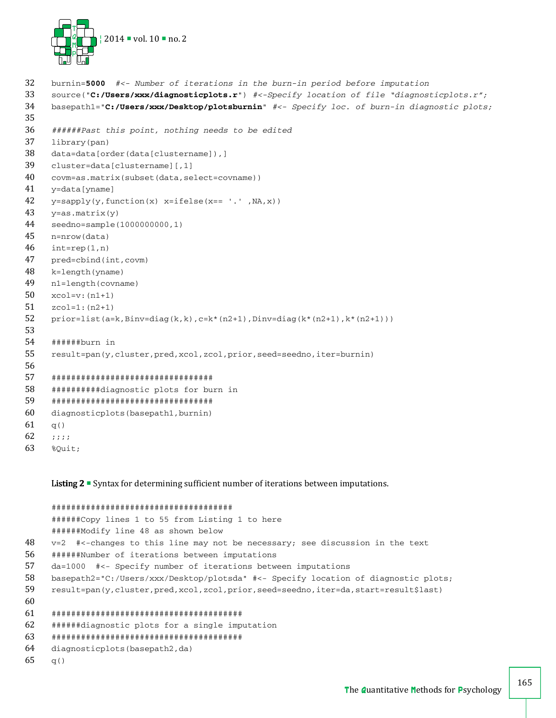

```
32 burnin=5000 #<- Number of iterations in the burn-in period before imputation
33 source("C:/Users/xxx/diagnosticplots.r") #<-Specify location of file "diagnosticplots.r"; 
34 basepath1="C:/Users/xxx/Desktop/plotsburnin" #<- Specify loc. of burn-in diagnostic plots; 
35 
36 ######Past this point, nothing needs to be edited 
37 library(pan) 
38 data=data[order(data[clustername]),] 
39 cluster=data[clustername][,1] 
40 covm=as.matrix(subset(data,select=covname)) 
41 y=data[yname] 
42 y= sapply(y, function(x) x= ifelse(x=- \ldots, NA, x))
43 y = as.matrix(y)44 seedno=sample(1000000000,1) 
45 n=nrow(data) 
46 int=rep(1,n)47 pred=cbind(int,covm) 
48 k=length(yname) 
49 n1=length(covname) 
50 xcol=v:(n1+1) 
51 zcol=1:(n2+1) 
52 prior=list(a=k,Binv=diag(k,k),c=k*(n2+1),Dinv=diag(k*(n2+1),k*(n2+1)))
53 
54 ######burn in 
55 result=pan(y,cluster,pred,xcol,zcol,prior,seed=seedno,iter=burnin) 
56 
57 ################################# 
58 ##########diagnostic plots for burn in 
59 ################################# 
60 diagnosticplots(basepath1,burnin) 
61 q()62 ;;;; 
63 %Quit;
```
Listing 2  $\blacksquare$  Syntax for determining sufficient number of iterations between imputations.

```
##################################### 
     ######Copy lines 1 to 55 from Listing 1 to here 
     ######Modify line 48 as shown below 
48 v=2 #<-changes to this line may not be necessary; see discussion in the text 
56 ######Number of iterations between imputations 
57 da=1000 #<- Specify number of iterations between imputations 
58 basepath2="C:/Users/xxx/Desktop/plotsda" #<- Specify location of diagnostic plots; 
59 result=pan(y,cluster,pred,xcol,zcol,prior,seed=seedno,iter=da,start=result$last) 
60 
61 ####################################### 
62 ######diagnostic plots for a single imputation 
63 ####################################### 
64 diagnosticplots(basepath2,da) 
65 q()
```